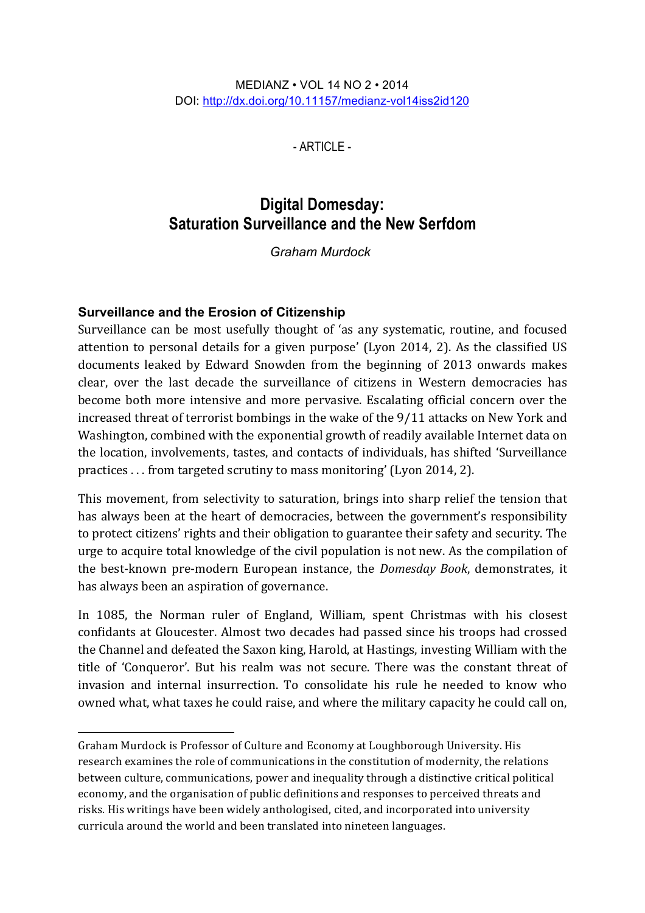#### MEDIANZ • VOL 14 NO 2 • 2014 DOI: http://dx.doi.org/10.11157/medianz-vol14iss2id120

- ARTICLE -

# **Digital Domesday: Saturation Surveillance and the New Serfdom**

*Graham Murdock1*

# **Surveillance and the Erosion of Citizenship**

 $\overline{a}$ 

Surveillance can be most usefully thought of 'as any systematic, routine, and focused attention to personal details for a given purpose' (Lyon 2014, 2). As the classified US documents leaked by Edward Snowden from the beginning of 2013 onwards makes clear, over the last decade the surveillance of citizens in Western democracies has become both more intensive and more pervasive. Escalating official concern over the increased threat of terrorist bombings in the wake of the  $9/11$  attacks on New York and Washington, combined with the exponential growth of readily available Internet data on the location, involvements, tastes, and contacts of individuals, has shifted 'Surveillance practices . . . from targeted scrutiny to mass monitoring' (Lyon 2014, 2).

This movement, from selectivity to saturation, brings into sharp relief the tension that has always been at the heart of democracies, between the government's responsibility to protect citizens' rights and their obligation to guarantee their safety and security. The urge to acquire total knowledge of the civil population is not new. As the compilation of the best-known pre-modern European instance, the *Domesday Book*, demonstrates, it has always been an aspiration of governance.

In 1085, the Norman ruler of England, William, spent Christmas with his closest confidants at Gloucester. Almost two decades had passed since his troops had crossed the Channel and defeated the Saxon king, Harold, at Hastings, investing William with the title of 'Conqueror'. But his realm was not secure. There was the constant threat of invasion and internal insurrection. To consolidate his rule he needed to know who owned what, what taxes he could raise, and where the military capacity he could call on,

Graham Murdock is Professor of Culture and Economy at Loughborough University. His research examines the role of communications in the constitution of modernity, the relations between culture, communications, power and inequality through a distinctive critical political economy, and the organisation of public definitions and responses to perceived threats and risks. His writings have been widely anthologised, cited, and incorporated into university curricula around the world and been translated into nineteen languages.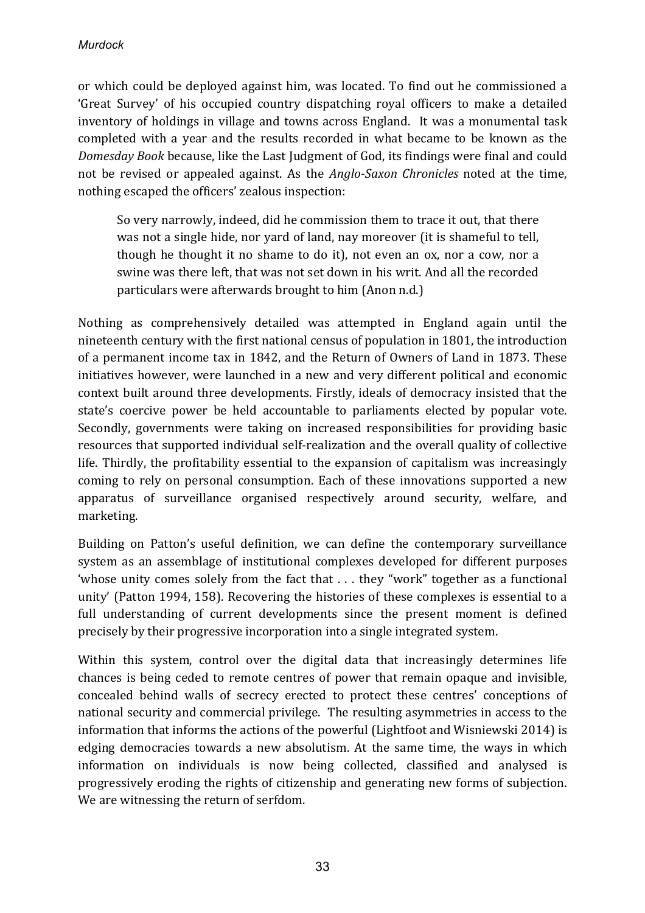or which could be deployed against him, was located. To find out he commissioned a 'Great Survey' of his occupied country dispatching royal officers to make a detailed inventory of holdings in village and towns across England. It was a monumental task completed with a year and the results recorded in what became to be known as the *Domesday Book* because, like the Last Judgment of God, its findings were final and could not be revised or appealed against. As the *Anglo-Saxon Chronicles* noted at the time, nothing escaped the officers' zealous inspection:

So very narrowly, indeed, did he commission them to trace it out, that there was not a single hide, nor vard of land, nay moreover (it is shameful to tell, though he thought it no shame to do it), not even an ox, nor a cow, nor a swine was there left, that was not set down in his writ. And all the recorded particulars were afterwards brought to him (Anon n.d.)

Nothing as comprehensively detailed was attempted in England again until the nineteenth century with the first national census of population in 1801, the introduction of a permanent income tax in 1842, and the Return of Owners of Land in 1873. These initiatives however, were launched in a new and very different political and economic context built around three developments. Firstly, ideals of democracy insisted that the state's coercive power be held accountable to parliaments elected by popular vote. Secondly, governments were taking on increased responsibilities for providing basic resources that supported individual self-realization and the overall quality of collective life. Thirdly, the profitability essential to the expansion of capitalism was increasingly coming to rely on personal consumption. Each of these innovations supported a new apparatus of surveillance organised respectively around security, welfare, and marketing. 

Building on Patton's useful definition, we can define the contemporary surveillance system as an assemblage of institutional complexes developed for different purposes 'whose unity comes solely from the fact that  $\dots$  they "work" together as a functional unity' (Patton 1994, 158). Recovering the histories of these complexes is essential to a full understanding of current developments since the present moment is defined precisely by their progressive incorporation into a single integrated system.

Within this system, control over the digital data that increasingly determines life chances is being ceded to remote centres of power that remain opaque and invisible, concealed behind walls of secrecy erected to protect these centres' conceptions of national security and commercial privilege. The resulting asymmetries in access to the information that informs the actions of the powerful (Lightfoot and Wisniewski 2014) is edging democracies towards a new absolutism. At the same time, the ways in which information on individuals is now being collected, classified and analysed is progressively eroding the rights of citizenship and generating new forms of subjection. We are witnessing the return of serfdom.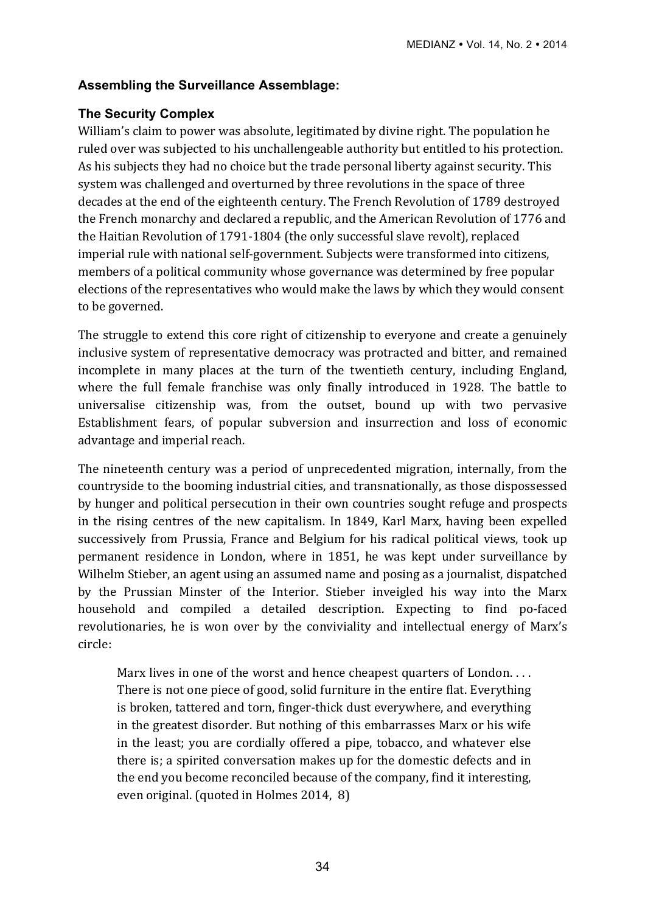# **Assembling the Surveillance Assemblage:**

# **The Security Complex**

William's claim to power was absolute, legitimated by divine right. The population he ruled over was subjected to his unchallengeable authority but entitled to his protection. As his subjects they had no choice but the trade personal liberty against security. This system was challenged and overturned by three revolutions in the space of three decades at the end of the eighteenth century. The French Revolution of 1789 destroyed the French monarchy and declared a republic, and the American Revolution of 1776 and the Haitian Revolution of 1791-1804 (the only successful slave revolt), replaced imperial rule with national self-government. Subjects were transformed into citizens, members of a political community whose governance was determined by free popular elections of the representatives who would make the laws by which they would consent to be governed.

The struggle to extend this core right of citizenship to everyone and create a genuinely inclusive system of representative democracy was protracted and bitter, and remained incomplete in many places at the turn of the twentieth century, including England, where the full female franchise was only finally introduced in 1928. The battle to universalise citizenship was, from the outset, bound up with two pervasive Establishment fears, of popular subversion and insurrection and loss of economic advantage and imperial reach.

The nineteenth century was a period of unprecedented migration, internally, from the countryside to the booming industrial cities, and transnationally, as those dispossessed by hunger and political persecution in their own countries sought refuge and prospects in the rising centres of the new capitalism. In 1849, Karl Marx, having been expelled successively from Prussia, France and Belgium for his radical political views, took up permanent residence in London, where in 1851, he was kept under surveillance by Wilhelm Stieber, an agent using an assumed name and posing as a journalist, dispatched by the Prussian Minster of the Interior. Stieber inveigled his way into the Marx household and compiled a detailed description. Expecting to find po-faced revolutionaries, he is won over by the conviviality and intellectual energy of Marx's circle:

Marx lives in one of the worst and hence cheapest quarters of London.  $\dots$ There is not one piece of good, solid furniture in the entire flat. Everything is broken, tattered and torn, finger-thick dust everywhere, and everything in the greatest disorder. But nothing of this embarrasses Marx or his wife in the least; you are cordially offered a pipe, tobacco, and whatever else there is; a spirited conversation makes up for the domestic defects and in the end you become reconciled because of the company, find it interesting, even original. (quoted in Holmes 2014, 8)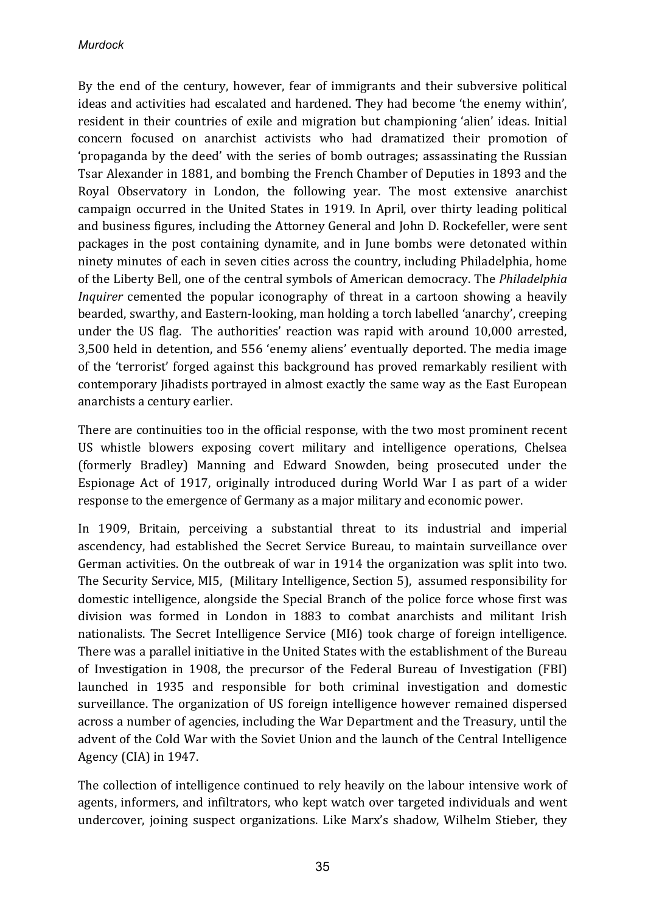By the end of the century, however, fear of immigrants and their subversive political ideas and activities had escalated and hardened. They had become 'the enemy within', resident in their countries of exile and migration but championing 'alien' ideas. Initial concern focused on anarchist activists who had dramatized their promotion of 'propaganda by the deed' with the series of bomb outrages; assassinating the Russian Tsar Alexander in 1881, and bombing the French Chamber of Deputies in 1893 and the Royal Observatory in London, the following year. The most extensive anarchist campaign occurred in the United States in 1919. In April, over thirty leading political and business figures, including the Attorney General and John D. Rockefeller, were sent packages in the post containing dynamite, and in June bombs were detonated within ninety minutes of each in seven cities across the country, including Philadelphia, home of the Liberty Bell, one of the central symbols of American democracy. The *Philadelphia Inquirer* cemented the popular iconography of threat in a cartoon showing a heavily bearded, swarthy, and Eastern-looking, man holding a torch labelled 'anarchy', creeping under the US flag. The authorities' reaction was rapid with around 10,000 arrested, 3,500 held in detention, and 556 'enemy aliens' eventually deported. The media image of the 'terrorist' forged against this background has proved remarkably resilient with contemporary *Jihadists* portrayed in almost exactly the same way as the East European anarchists a century earlier.

There are continuities too in the official response, with the two most prominent recent US whistle blowers exposing covert military and intelligence operations, Chelsea (formerly Bradley) Manning and Edward Snowden, being prosecuted under the Espionage Act of 1917, originally introduced during World War I as part of a wider response to the emergence of Germany as a major military and economic power.

In 1909, Britain, perceiving a substantial threat to its industrial and imperial ascendency, had established the Secret Service Bureau, to maintain surveillance over German activities. On the outbreak of war in 1914 the organization was split into two. The Security Service, MI5, (Military Intelligence, Section 5), assumed responsibility for domestic intelligence, alongside the Special Branch of the police force whose first was division was formed in London in 1883 to combat anarchists and militant Irish nationalists. The Secret Intelligence Service (MI6) took charge of foreign intelligence. There was a parallel initiative in the United States with the establishment of the Bureau of Investigation in 1908, the precursor of the Federal Bureau of Investigation (FBI) launched in 1935 and responsible for both criminal investigation and domestic surveillance. The organization of US foreign intelligence however remained dispersed across a number of agencies, including the War Department and the Treasury, until the advent of the Cold War with the Soviet Union and the launch of the Central Intelligence Agency (CIA) in 1947.

The collection of intelligence continued to rely heavily on the labour intensive work of agents, informers, and infiltrators, who kept watch over targeted individuals and went undercover, joining suspect organizations. Like Marx's shadow, Wilhelm Stieber, they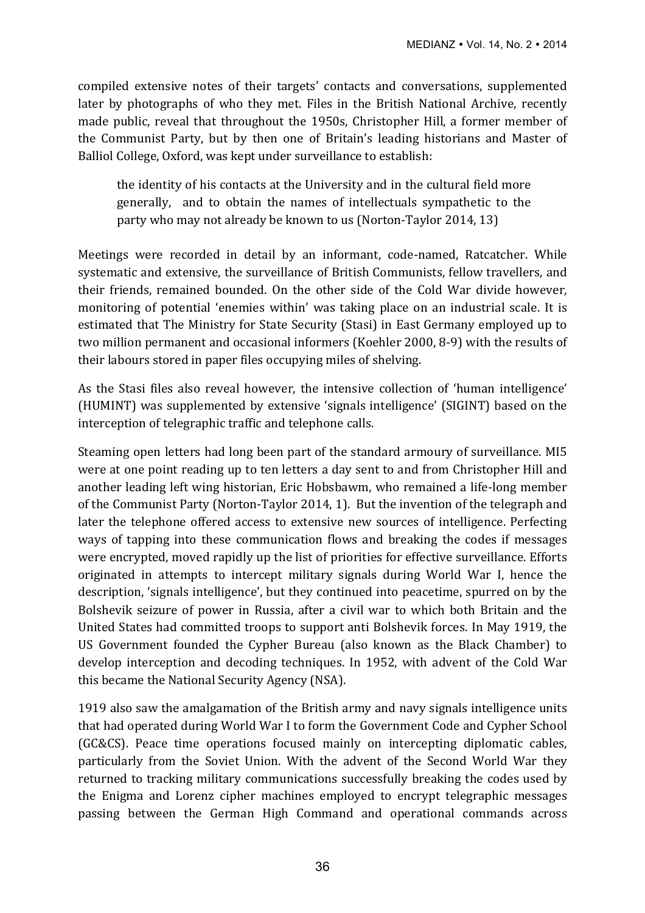compiled extensive notes of their targets' contacts and conversations, supplemented later by photographs of who they met. Files in the British National Archive, recently made public, reveal that throughout the 1950s, Christopher Hill, a former member of the Communist Party, but by then one of Britain's leading historians and Master of Balliol College, Oxford, was kept under surveillance to establish:

the identity of his contacts at the University and in the cultural field more generally, and to obtain the names of intellectuals sympathetic to the party who may not already be known to us (Norton-Taylor 2014, 13)

Meetings were recorded in detail by an informant, code-named, Ratcatcher. While systematic and extensive, the surveillance of British Communists, fellow travellers, and their friends, remained bounded. On the other side of the Cold War divide however, monitoring of potential 'enemies within' was taking place on an industrial scale. It is estimated that The Ministry for State Security (Stasi) in East Germany employed up to two million permanent and occasional informers (Koehler 2000, 8-9) with the results of their labours stored in paper files occupying miles of shelving.

As the Stasi files also reveal however, the intensive collection of 'human intelligence' (HUMINT) was supplemented by extensive 'signals intelligence' (SIGINT) based on the interception of telegraphic traffic and telephone calls.

Steaming open letters had long been part of the standard armoury of surveillance. MI5 were at one point reading up to ten letters a day sent to and from Christopher Hill and another leading left wing historian, Eric Hobsbawm, who remained a life-long member of the Communist Party (Norton-Taylor 2014, 1). But the invention of the telegraph and later the telephone offered access to extensive new sources of intelligence. Perfecting ways of tapping into these communication flows and breaking the codes if messages were encrypted, moved rapidly up the list of priorities for effective surveillance. Efforts originated in attempts to intercept military signals during World War I, hence the description, 'signals intelligence', but they continued into peacetime, spurred on by the Bolshevik seizure of power in Russia, after a civil war to which both Britain and the United States had committed troops to support anti Bolshevik forces. In May 1919, the US Government founded the Cypher Bureau (also known as the Black Chamber) to develop interception and decoding techniques. In 1952, with advent of the Cold War this became the National Security Agency (NSA).

1919 also saw the amalgamation of the British army and navy signals intelligence units that had operated during World War I to form the Government Code and Cypher School (GC&CS). Peace time operations focused mainly on intercepting diplomatic cables, particularly from the Soviet Union. With the advent of the Second World War they returned to tracking military communications successfully breaking the codes used by the Enigma and Lorenz cipher machines employed to encrypt telegraphic messages passing between the German High Command and operational commands across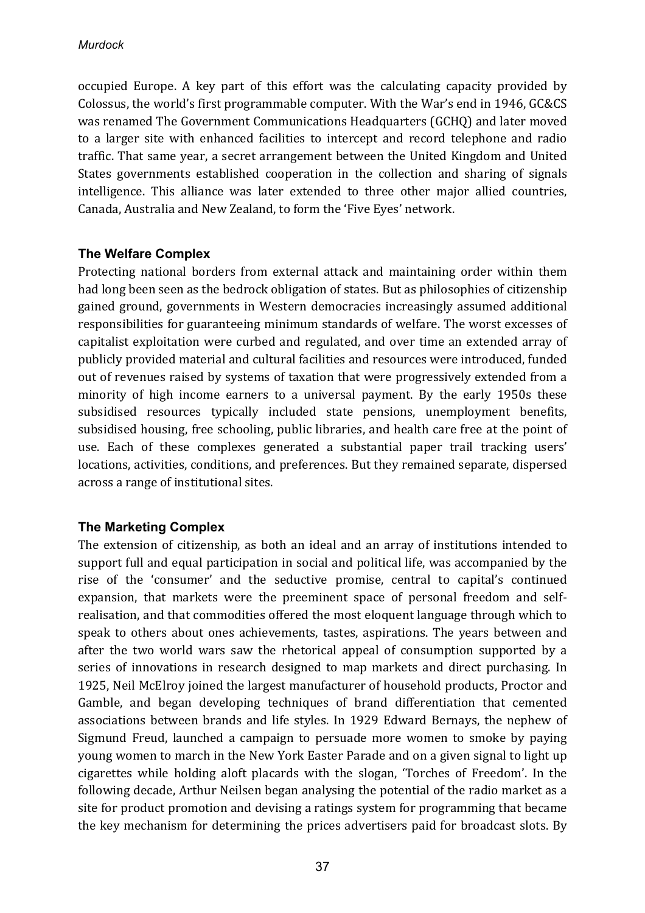occupied Europe. A key part of this effort was the calculating capacity provided by Colossus, the world's first programmable computer. With the War's end in 1946, GC&CS was renamed The Government Communications Headquarters (GCHQ) and later moved to a larger site with enhanced facilities to intercept and record telephone and radio traffic. That same year, a secret arrangement between the United Kingdom and United States governments established cooperation in the collection and sharing of signals intelligence. This alliance was later extended to three other major allied countries, Canada, Australia and New Zealand, to form the 'Five Eyes' network.

#### **The Welfare Complex**

Protecting national borders from external attack and maintaining order within them had long been seen as the bedrock obligation of states. But as philosophies of citizenship gained ground, governments in Western democracies increasingly assumed additional responsibilities for guaranteeing minimum standards of welfare. The worst excesses of capitalist exploitation were curbed and regulated, and over time an extended array of publicly provided material and cultural facilities and resources were introduced, funded out of revenues raised by systems of taxation that were progressively extended from a minority of high income earners to a universal payment. By the early 1950s these subsidised resources typically included state pensions, unemployment benefits, subsidised housing, free schooling, public libraries, and health care free at the point of use. Each of these complexes generated a substantial paper trail tracking users' locations, activities, conditions, and preferences. But they remained separate, dispersed across a range of institutional sites.

## **The Marketing Complex**

The extension of citizenship, as both an ideal and an array of institutions intended to support full and equal participation in social and political life, was accompanied by the rise of the 'consumer' and the seductive promise, central to capital's continued expansion, that markets were the preeminent space of personal freedom and selfrealisation, and that commodities offered the most eloquent language through which to speak to others about ones achievements, tastes, aspirations. The years between and after the two world wars saw the rhetorical appeal of consumption supported by a series of innovations in research designed to map markets and direct purchasing. In 1925, Neil McElroy joined the largest manufacturer of household products, Proctor and Gamble, and began developing techniques of brand differentiation that cemented associations between brands and life styles. In 1929 Edward Bernays, the nephew of Sigmund Freud, launched a campaign to persuade more women to smoke by paying young women to march in the New York Easter Parade and on a given signal to light up cigarettes while holding aloft placards with the slogan, 'Torches of Freedom'. In the following decade, Arthur Neilsen began analysing the potential of the radio market as a site for product promotion and devising a ratings system for programming that became the key mechanism for determining the prices advertisers paid for broadcast slots. By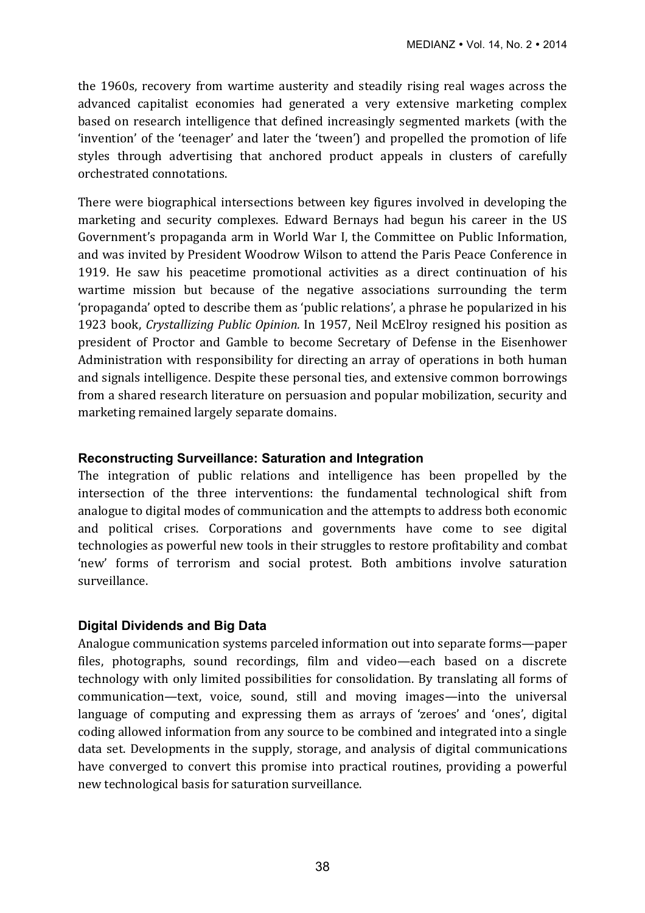the 1960s, recovery from wartime austerity and steadily rising real wages across the advanced capitalist economies had generated a very extensive marketing complex based on research intelligence that defined increasingly segmented markets (with the 'invention' of the 'teenager' and later the 'tween') and propelled the promotion of life styles through advertising that anchored product appeals in clusters of carefully orchestrated connotations. 

There were biographical intersections between key figures involved in developing the marketing and security complexes. Edward Bernays had begun his career in the US Government's propaganda arm in World War I, the Committee on Public Information, and was invited by President Woodrow Wilson to attend the Paris Peace Conference in 1919. He saw his peacetime promotional activities as a direct continuation of his wartime mission but because of the negative associations surrounding the term 'propaganda' opted to describe them as 'public relations', a phrase he popularized in his 1923 book, *Crystallizing Public Opinion.* In 1957, Neil McElroy resigned his position as president of Proctor and Gamble to become Secretary of Defense in the Eisenhower Administration with responsibility for directing an array of operations in both human and signals intelligence. Despite these personal ties, and extensive common borrowings from a shared research literature on persuasion and popular mobilization, security and marketing remained largely separate domains.

#### **Reconstructing Surveillance: Saturation and Integration**

The integration of public relations and intelligence has been propelled by the intersection of the three interventions: the fundamental technological shift from analogue to digital modes of communication and the attempts to address both economic and political crises. Corporations and governments have come to see digital technologies as powerful new tools in their struggles to restore profitability and combat 'new' forms of terrorism and social protest. Both ambitions involve saturation surveillance.

## **Digital Dividends and Big Data**

Analogue communication systems parceled information out into separate forms—paper files, photographs, sound recordings, film and video—each based on a discrete technology with only limited possibilities for consolidation. By translating all forms of communication—text, voice, sound, still and moving images—into the universal language of computing and expressing them as arrays of 'zeroes' and 'ones', digital coding allowed information from any source to be combined and integrated into a single data set. Developments in the supply, storage, and analysis of digital communications have converged to convert this promise into practical routines, providing a powerful new technological basis for saturation surveillance.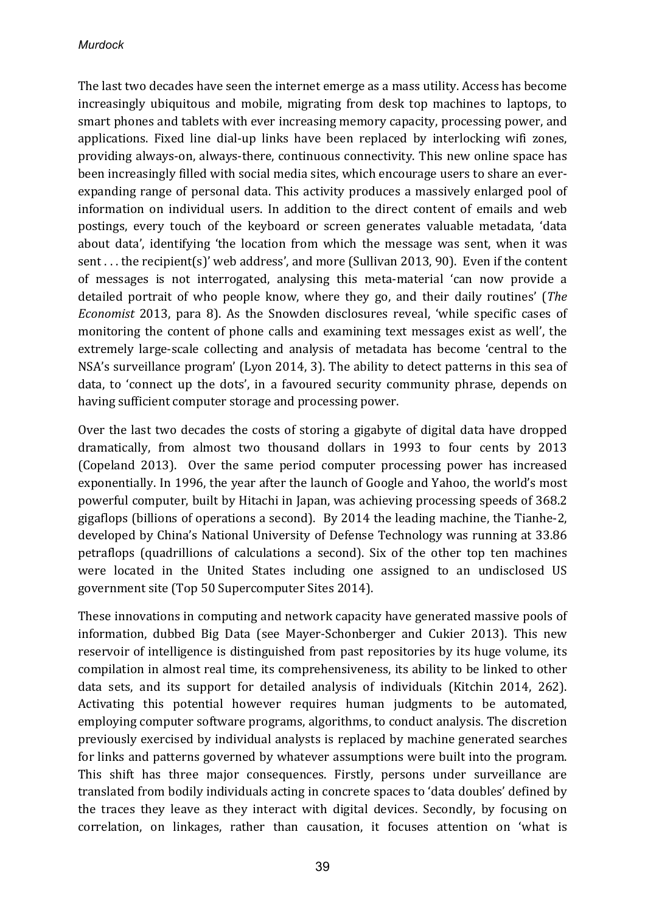The last two decades have seen the internet emerge as a mass utility. Access has become increasingly ubiquitous and mobile, migrating from desk top machines to laptops, to smart phones and tablets with ever increasing memory capacity, processing power, and applications. Fixed line dial-up links have been replaced by interlocking wifi zones, providing always-on, always-there, continuous connectivity. This new online space has been increasingly filled with social media sites, which encourage users to share an everexpanding range of personal data. This activity produces a massively enlarged pool of information on individual users. In addition to the direct content of emails and web postings, every touch of the keyboard or screen generates valuable metadata, 'data about data', identifying 'the location from which the message was sent, when it was sent . . . the recipient(s)' web address', and more (Sullivan 2013, 90). Even if the content of messages is not interrogated, analysing this meta-material 'can now provide a detailed portrait of who people know, where they go, and their daily routines' (*The Economist* 2013, para 8). As the Snowden disclosures reveal, 'while specific cases of monitoring the content of phone calls and examining text messages exist as well', the extremely large-scale collecting and analysis of metadata has become 'central to the NSA's surveillance program' (Lyon 2014, 3). The ability to detect patterns in this sea of data, to 'connect up the dots', in a favoured security community phrase, depends on having sufficient computer storage and processing power.

Over the last two decades the costs of storing a gigabyte of digital data have dropped dramatically, from almost two thousand dollars in 1993 to four cents by 2013 (Copeland 2013). Over the same period computer processing power has increased exponentially. In 1996, the year after the launch of Google and Yahoo, the world's most powerful computer, built by Hitachi in Japan, was achieving processing speeds of 368.2 gigaflops (billions of operations a second). By 2014 the leading machine, the Tianhe-2, developed by China's National University of Defense Technology was running at 33.86 petraflops (quadrillions of calculations a second). Six of the other top ten machines were located in the United States including one assigned to an undisclosed US government site (Top 50 Supercomputer Sites 2014).

These innovations in computing and network capacity have generated massive pools of information, dubbed Big Data (see Mayer-Schonberger and Cukier 2013). This new reservoir of intelligence is distinguished from past repositories by its huge volume, its compilation in almost real time, its comprehensiveness, its ability to be linked to other data sets, and its support for detailed analysis of individuals (Kitchin 2014, 262). Activating this potential however requires human judgments to be automated, employing computer software programs, algorithms, to conduct analysis. The discretion previously exercised by individual analysts is replaced by machine generated searches for links and patterns governed by whatever assumptions were built into the program. This shift has three major consequences. Firstly, persons under surveillance are translated from bodily individuals acting in concrete spaces to 'data doubles' defined by the traces they leave as they interact with digital devices. Secondly, by focusing on correlation, on linkages, rather than causation, it focuses attention on 'what is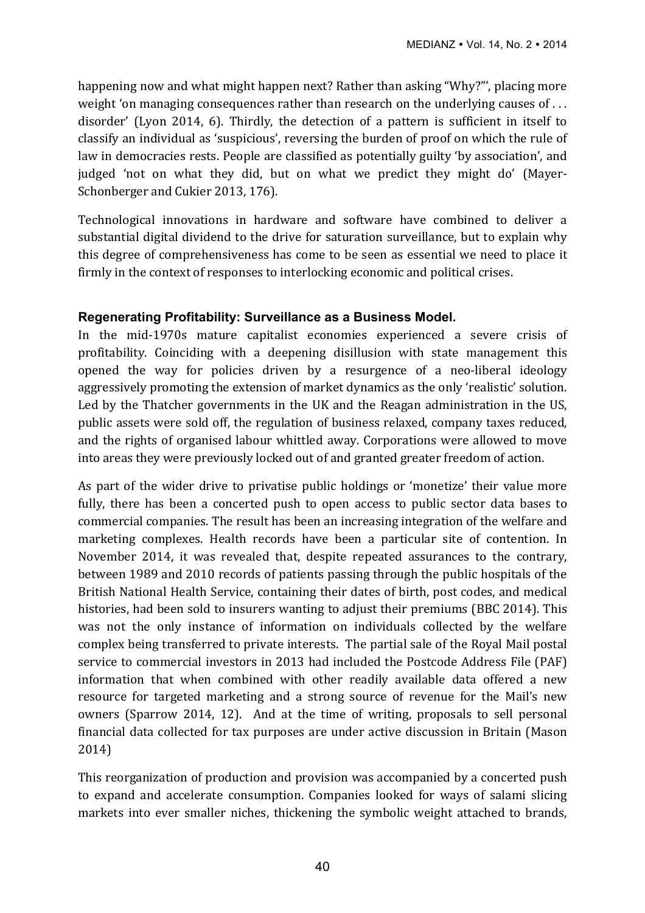happening now and what might happen next? Rather than asking "Why?"', placing more weight 'on managing consequences rather than research on the underlying causes of  $\dots$ disorder' (Lyon 2014, 6). Thirdly, the detection of a pattern is sufficient in itself to classify an individual as 'suspicious', reversing the burden of proof on which the rule of law in democracies rests. People are classified as potentially guilty 'by association', and judged 'not on what they did, but on what we predict they might do' (Mayer-Schonberger and Cukier 2013, 176).

Technological innovations in hardware and software have combined to deliver a substantial digital dividend to the drive for saturation surveillance, but to explain why this degree of comprehensiveness has come to be seen as essential we need to place it firmly in the context of responses to interlocking economic and political crises.

# **Regenerating Profitability: Surveillance as a Business Model.**

In the mid-1970s mature capitalist economies experienced a severe crisis of profitability. Coinciding with a deepening disillusion with state management this opened the way for policies driven by a resurgence of a neo-liberal ideology aggressively promoting the extension of market dynamics as the only 'realistic' solution. Led by the Thatcher governments in the UK and the Reagan administration in the US, public assets were sold off, the regulation of business relaxed, company taxes reduced, and the rights of organised labour whittled away. Corporations were allowed to move into areas they were previously locked out of and granted greater freedom of action.

As part of the wider drive to privatise public holdings or 'monetize' their value more fully, there has been a concerted push to open access to public sector data bases to commercial companies. The result has been an increasing integration of the welfare and marketing complexes. Health records have been a particular site of contention. In November 2014, it was revealed that, despite repeated assurances to the contrary, between 1989 and 2010 records of patients passing through the public hospitals of the British National Health Service, containing their dates of birth, post codes, and medical histories, had been sold to insurers wanting to adjust their premiums (BBC 2014). This was not the only instance of information on individuals collected by the welfare complex being transferred to private interests. The partial sale of the Royal Mail postal service to commercial investors in 2013 had included the Postcode Address File (PAF) information that when combined with other readily available data offered a new resource for targeted marketing and a strong source of revenue for the Mail's new owners (Sparrow 2014, 12). And at the time of writing, proposals to sell personal financial data collected for tax purposes are under active discussion in Britain (Mason 2014) 

This reorganization of production and provision was accompanied by a concerted push to expand and accelerate consumption. Companies looked for ways of salami slicing markets into ever smaller niches, thickening the symbolic weight attached to brands,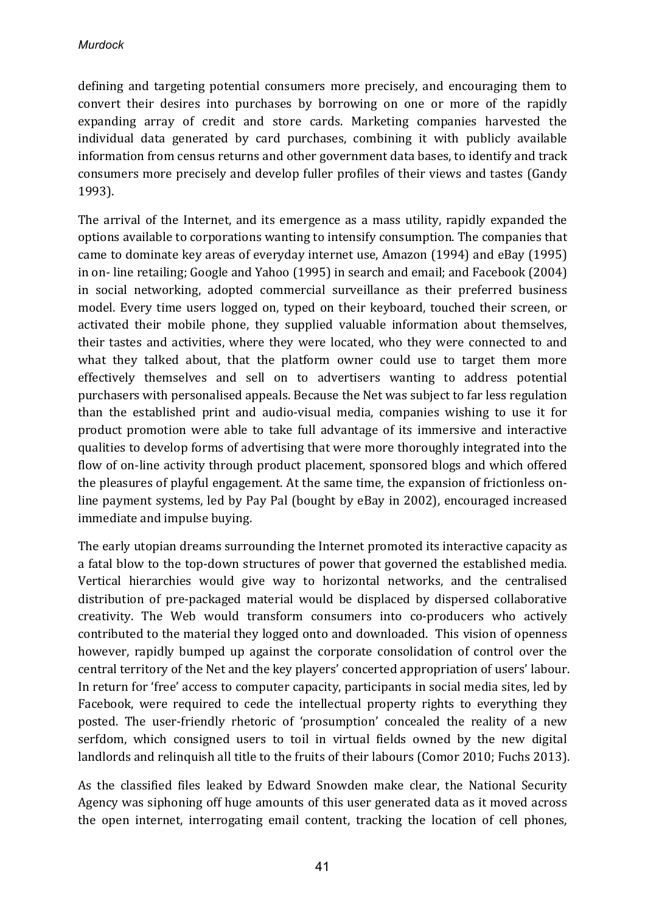defining and targeting potential consumers more precisely, and encouraging them to convert their desires into purchases by borrowing on one or more of the rapidly expanding array of credit and store cards. Marketing companies harvested the individual data generated by card purchases, combining it with publicly available information from census returns and other government data bases, to identify and track consumers more precisely and develop fuller profiles of their views and tastes (Gandy 1993). 

The arrival of the Internet, and its emergence as a mass utility, rapidly expanded the options available to corporations wanting to intensify consumption. The companies that came to dominate key areas of everyday internet use, Amazon (1994) and eBay (1995) in on- line retailing; Google and Yahoo (1995) in search and email; and Facebook (2004) in social networking, adopted commercial surveillance as their preferred business model. Every time users logged on, typed on their keyboard, touched their screen, or activated their mobile phone, they supplied valuable information about themselves, their tastes and activities, where they were located, who they were connected to and what they talked about, that the platform owner could use to target them more effectively themselves and sell on to advertisers wanting to address potential purchasers with personalised appeals. Because the Net was subject to far less regulation than the established print and audio-visual media, companies wishing to use it for product promotion were able to take full advantage of its immersive and interactive qualities to develop forms of advertising that were more thoroughly integrated into the flow of on-line activity through product placement, sponsored blogs and which offered the pleasures of playful engagement. At the same time, the expansion of frictionless online payment systems, led by Pay Pal (bought by eBay in 2002), encouraged increased immediate and impulse buying.

The early utopian dreams surrounding the Internet promoted its interactive capacity as a fatal blow to the top-down structures of power that governed the established media. Vertical hierarchies would give way to horizontal networks, and the centralised distribution of pre-packaged material would be displaced by dispersed collaborative creativity. The Web would transform consumers into co-producers who actively contributed to the material they logged onto and downloaded. This vision of openness however, rapidly bumped up against the corporate consolidation of control over the central territory of the Net and the key players' concerted appropriation of users' labour. In return for 'free' access to computer capacity, participants in social media sites, led by Facebook, were required to cede the intellectual property rights to everything they posted. The user-friendly rhetoric of 'prosumption' concealed the reality of a new serfdom, which consigned users to toil in virtual fields owned by the new digital landlords and relinquish all title to the fruits of their labours (Comor 2010; Fuchs 2013).

As the classified files leaked by Edward Snowden make clear, the National Security Agency was siphoning off huge amounts of this user generated data as it moved across the open internet, interrogating email content, tracking the location of cell phones,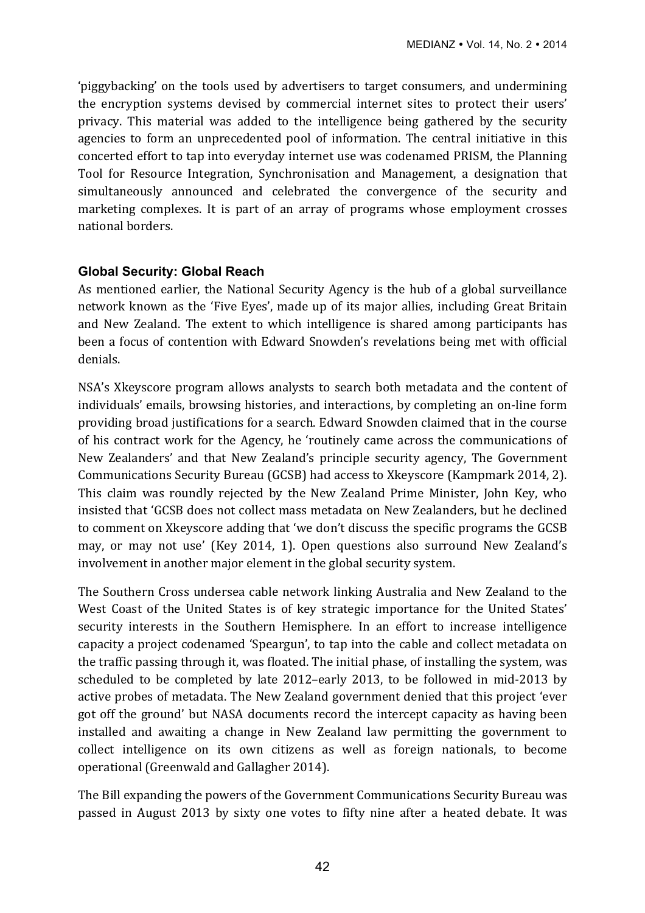'piggybacking' on the tools used by advertisers to target consumers, and undermining the encryption systems devised by commercial internet sites to protect their users' privacy. This material was added to the intelligence being gathered by the security agencies to form an unprecedented pool of information. The central initiative in this concerted effort to tap into everyday internet use was codenamed PRISM, the Planning Tool for Resource Integration, Synchronisation and Management, a designation that simultaneously announced and celebrated the convergence of the security and marketing complexes. It is part of an array of programs whose employment crosses national borders.

#### **Global Security: Global Reach**

As mentioned earlier, the National Security Agency is the hub of a global surveillance network known as the 'Five Eyes', made up of its major allies, including Great Britain and New Zealand. The extent to which intelligence is shared among participants has been a focus of contention with Edward Snowden's revelations being met with official denials. 

NSA's Xkeyscore program allows analysts to search both metadata and the content of individuals' emails, browsing histories, and interactions, by completing an on-line form providing broad justifications for a search. Edward Snowden claimed that in the course of his contract work for the Agency, he 'routinely came across the communications of New Zealanders' and that New Zealand's principle security agency, The Government Communications Security Bureau (GCSB) had access to Xkeyscore (Kampmark 2014, 2). This claim was roundly rejected by the New Zealand Prime Minister, John Key, who insisted that 'GCSB does not collect mass metadata on New Zealanders, but he declined to comment on Xkeyscore adding that 'we don't discuss the specific programs the GCSB may, or may not use' (Key 2014, 1). Open questions also surround New Zealand's involvement in another major element in the global security system.

The Southern Cross undersea cable network linking Australia and New Zealand to the West Coast of the United States is of key strategic importance for the United States' security interests in the Southern Hemisphere. In an effort to increase intelligence capacity a project codenamed 'Speargun', to tap into the cable and collect metadata on the traffic passing through it, was floated. The initial phase, of installing the system, was scheduled to be completed by late 2012–early 2013, to be followed in mid-2013 by active probes of metadata. The New Zealand government denied that this project 'ever got off the ground' but NASA documents record the intercept capacity as having been installed and awaiting a change in New Zealand law permitting the government to collect intelligence on its own citizens as well as foreign nationals, to become operational (Greenwald and Gallagher 2014).

The Bill expanding the powers of the Government Communications Security Bureau was passed in August 2013 by sixty one votes to fifty nine after a heated debate. It was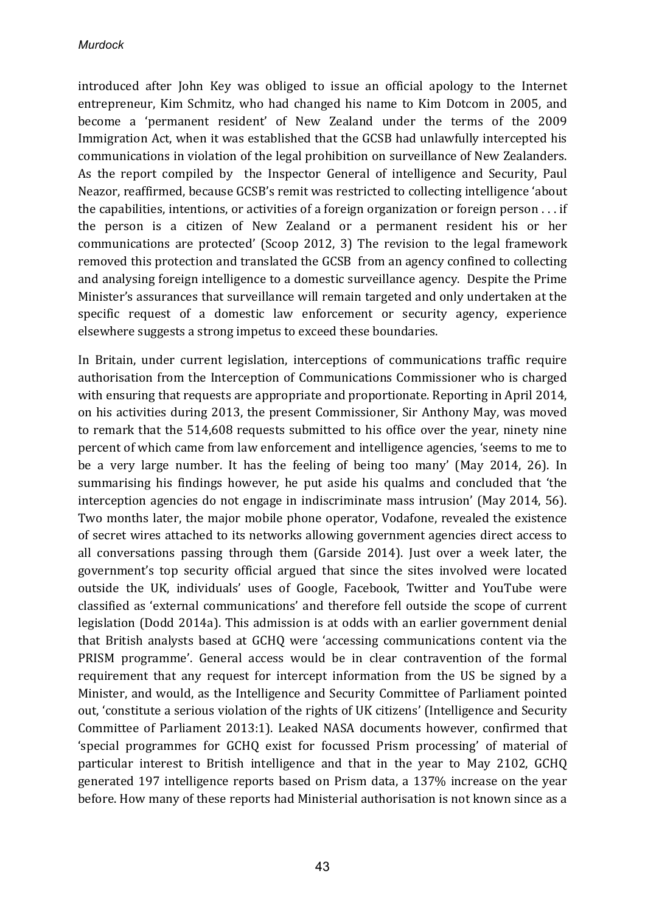introduced after John Key was obliged to issue an official apology to the Internet entrepreneur, Kim Schmitz, who had changed his name to Kim Dotcom in 2005, and become a 'permanent resident' of New Zealand under the terms of the 2009 Immigration Act, when it was established that the GCSB had unlawfully intercepted his communications in violation of the legal prohibition on surveillance of New Zealanders. As the report compiled by the Inspector General of intelligence and Security, Paul Neazor, reaffirmed, because GCSB's remit was restricted to collecting intelligence 'about the capabilities, intentions, or activities of a foreign organization or foreign person  $\dots$  if the person is a citizen of New Zealand or a permanent resident his or her communications are protected' (Scoop 2012, 3) The revision to the legal framework removed this protection and translated the GCSB from an agency confined to collecting and analysing foreign intelligence to a domestic surveillance agency. Despite the Prime Minister's assurances that surveillance will remain targeted and only undertaken at the specific request of a domestic law enforcement or security agency, experience elsewhere suggests a strong impetus to exceed these boundaries.

In Britain, under current legislation, interceptions of communications traffic require authorisation from the Interception of Communications Commissioner who is charged with ensuring that requests are appropriate and proportionate. Reporting in April 2014, on his activities during 2013, the present Commissioner, Sir Anthony May, was moved to remark that the 514,608 requests submitted to his office over the year, ninety nine percent of which came from law enforcement and intelligence agencies, 'seems to me to be a very large number. It has the feeling of being too many' (May 2014, 26). In summarising his findings however, he put aside his qualms and concluded that 'the interception agencies do not engage in indiscriminate mass intrusion' (May 2014, 56). Two months later, the major mobile phone operator, Vodafone, revealed the existence of secret wires attached to its networks allowing government agencies direct access to all conversations passing through them (Garside 2014). Just over a week later, the government's top security official argued that since the sites involved were located outside the UK, individuals' uses of Google, Facebook, Twitter and YouTube were classified as 'external communications' and therefore fell outside the scope of current legislation (Dodd 2014a). This admission is at odds with an earlier government denial that British analysts based at GCHQ were 'accessing communications content via the PRISM programme'. General access would be in clear contravention of the formal requirement that any request for intercept information from the US be signed by a Minister, and would, as the Intelligence and Security Committee of Parliament pointed out, 'constitute a serious violation of the rights of UK citizens' (Intelligence and Security Committee of Parliament 2013:1). Leaked NASA documents however, confirmed that 'special programmes for GCHO exist for focussed Prism processing' of material of particular interest to British intelligence and that in the year to May 2102, GCHQ generated 197 intelligence reports based on Prism data, a 137% increase on the year before. How many of these reports had Ministerial authorisation is not known since as a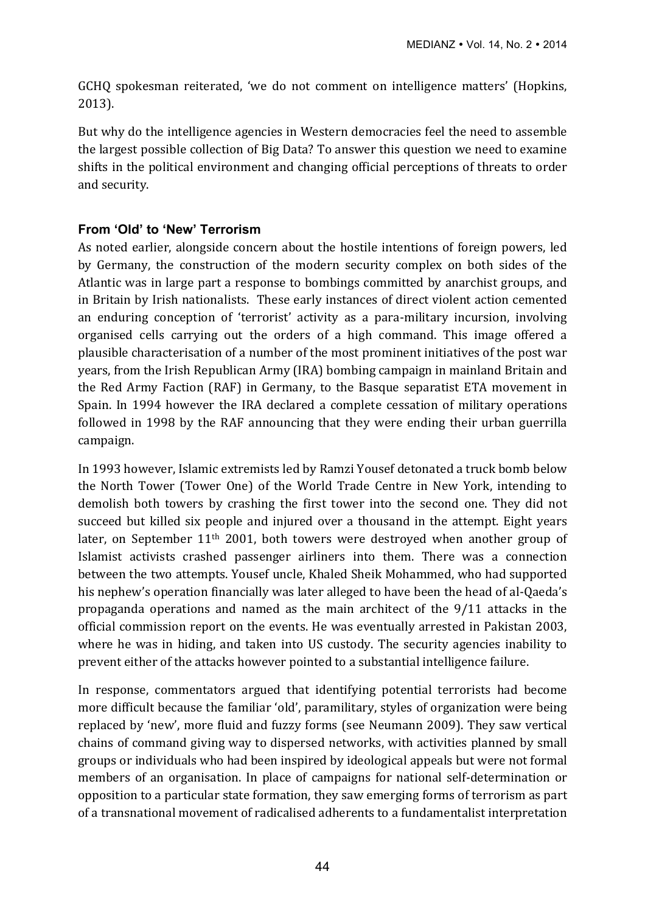GCHQ spokesman reiterated, 'we do not comment on intelligence matters' (Hopkins, 2013).

But why do the intelligence agencies in Western democracies feel the need to assemble the largest possible collection of Big Data? To answer this question we need to examine shifts in the political environment and changing official perceptions of threats to order and security.

## **From 'Old' to 'New' Terrorism**

As noted earlier, alongside concern about the hostile intentions of foreign powers, led by Germany, the construction of the modern security complex on both sides of the Atlantic was in large part a response to bombings committed by anarchist groups, and in Britain by Irish nationalists. These early instances of direct violent action cemented an enduring conception of 'terrorist' activity as a para-military incursion, involving organised cells carrying out the orders of a high command. This image offered a plausible characterisation of a number of the most prominent initiatives of the post war years, from the Irish Republican Army (IRA) bombing campaign in mainland Britain and the Red Army Faction (RAF) in Germany, to the Basque separatist ETA movement in Spain. In 1994 however the IRA declared a complete cessation of military operations followed in 1998 by the RAF announcing that they were ending their urban guerrilla campaign.

In 1993 however, Islamic extremists led by Ramzi Yousef detonated a truck bomb below the North Tower (Tower One) of the World Trade Centre in New York, intending to demolish both towers by crashing the first tower into the second one. They did not succeed but killed six people and injured over a thousand in the attempt. Eight years later, on September  $11<sup>th</sup> 2001$ , both towers were destroyed when another group of Islamist activists crashed passenger airliners into them. There was a connection between the two attempts. Yousef uncle, Khaled Sheik Mohammed, who had supported his nephew's operation financially was later alleged to have been the head of al-Qaeda's propaganda operations and named as the main architect of the  $9/11$  attacks in the official commission report on the events. He was eventually arrested in Pakistan 2003, where he was in hiding, and taken into US custody. The security agencies inability to prevent either of the attacks however pointed to a substantial intelligence failure.

In response, commentators argued that identifying potential terrorists had become more difficult because the familiar 'old', paramilitary, styles of organization were being replaced by 'new', more fluid and fuzzy forms (see Neumann 2009). They saw vertical chains of command giving way to dispersed networks, with activities planned by small groups or individuals who had been inspired by ideological appeals but were not formal members of an organisation. In place of campaigns for national self-determination or opposition to a particular state formation, they saw emerging forms of terrorism as part of a transnational movement of radicalised adherents to a fundamentalist interpretation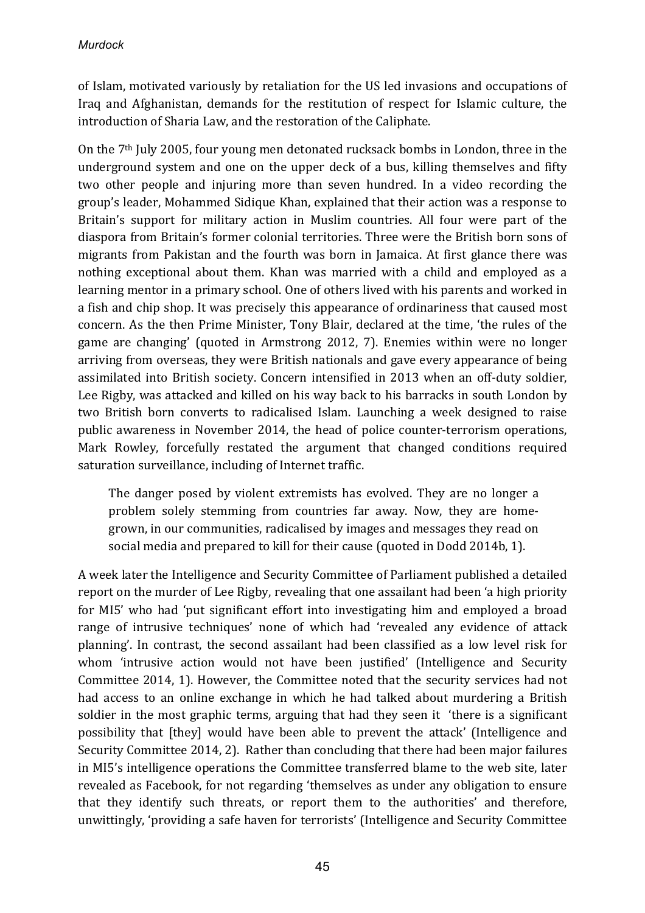of Islam, motivated variously by retaliation for the US led invasions and occupations of Iraq and Afghanistan, demands for the restitution of respect for Islamic culture, the introduction of Sharia Law, and the restoration of the Caliphate.

On the  $7<sup>th</sup>$  July 2005, four young men detonated rucksack bombs in London, three in the underground system and one on the upper deck of a bus, killing themselves and fifty two other people and injuring more than seven hundred. In a video recording the group's leader, Mohammed Sidique Khan, explained that their action was a response to Britain's support for military action in Muslim countries. All four were part of the diaspora from Britain's former colonial territories. Three were the British born sons of migrants from Pakistan and the fourth was born in Jamaica. At first glance there was nothing exceptional about them. Khan was married with a child and employed as a learning mentor in a primary school. One of others lived with his parents and worked in a fish and chip shop. It was precisely this appearance of ordinariness that caused most concern. As the then Prime Minister, Tony Blair, declared at the time, 'the rules of the game are changing' (quoted in Armstrong 2012, 7). Enemies within were no longer arriving from overseas, they were British nationals and gave every appearance of being assimilated into British society. Concern intensified in 2013 when an off-duty soldier, Lee Rigby, was attacked and killed on his way back to his barracks in south London by two British born converts to radicalised Islam. Launching a week designed to raise public awareness in November 2014, the head of police counter-terrorism operations, Mark Rowley, forcefully restated the argument that changed conditions required saturation surveillance, including of Internet traffic.

The danger posed by violent extremists has evolved. They are no longer a problem solely stemming from countries far away. Now, they are homegrown, in our communities, radicalised by images and messages they read on social media and prepared to kill for their cause (quoted in Dodd 2014b, 1).

A week later the Intelligence and Security Committee of Parliament published a detailed report on the murder of Lee Rigby, revealing that one assailant had been 'a high priority for MI5' who had 'put significant effort into investigating him and employed a broad range of intrusive techniques' none of which had 'revealed any evidence of attack planning'. In contrast, the second assailant had been classified as a low level risk for whom 'intrusive action would not have been justified' (Intelligence and Security Committee 2014, 1). However, the Committee noted that the security services had not had access to an online exchange in which he had talked about murdering a British soldier in the most graphic terms, arguing that had they seen it 'there is a significant possibility that [they] would have been able to prevent the attack' (Intelligence and Security Committee 2014, 2). Rather than concluding that there had been major failures in MI5's intelligence operations the Committee transferred blame to the web site, later revealed as Facebook, for not regarding 'themselves as under any obligation to ensure that they identify such threats, or report them to the authorities' and therefore, unwittingly, 'providing a safe haven for terrorists' (Intelligence and Security Committee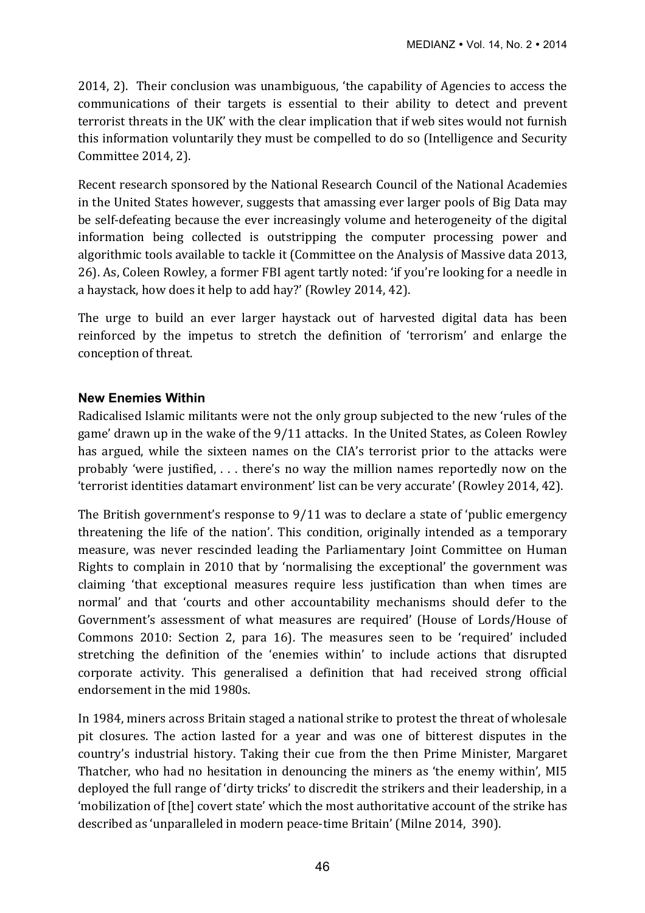2014, 2). Their conclusion was unambiguous, 'the capability of Agencies to access the communications of their targets is essential to their ability to detect and prevent terrorist threats in the UK' with the clear implication that if web sites would not furnish this information voluntarily they must be compelled to do so (Intelligence and Security Committee 2014, 2).

Recent research sponsored by the National Research Council of the National Academies in the United States however, suggests that amassing ever larger pools of Big Data may be self-defeating because the ever increasingly volume and heterogeneity of the digital information being collected is outstripping the computer processing power and algorithmic tools available to tackle it (Committee on the Analysis of Massive data 2013, 26). As, Coleen Rowley, a former FBI agent tartly noted: 'if you're looking for a needle in a haystack, how does it help to add hay?' (Rowley 2014, 42).

The urge to build an ever larger haystack out of harvested digital data has been reinforced by the impetus to stretch the definition of 'terrorism' and enlarge the conception of threat.

#### **New Enemies Within**

Radicalised Islamic militants were not the only group subjected to the new 'rules of the game' drawn up in the wake of the 9/11 attacks. In the United States, as Coleen Rowley has argued, while the sixteen names on the CIA's terrorist prior to the attacks were probably 'were justified,  $\dots$  there's no way the million names reportedly now on the 'terrorist identities datamart environment' list can be very accurate' (Rowley 2014, 42).

The British government's response to  $9/11$  was to declare a state of 'public emergency threatening the life of the nation'. This condition, originally intended as a temporary measure, was never rescinded leading the Parliamentary Joint Committee on Human Rights to complain in 2010 that by 'normalising the exceptional' the government was claiming 'that exceptional measures require less justification than when times are normal' and that 'courts and other accountability mechanisms should defer to the Government's assessment of what measures are required' (House of Lords/House of Commons 2010: Section 2, para 16). The measures seen to be 'required' included stretching the definition of the 'enemies within' to include actions that disrupted corporate activity. This generalised a definition that had received strong official endorsement in the mid 1980s.

In 1984, miners across Britain staged a national strike to protest the threat of wholesale pit closures. The action lasted for a year and was one of bitterest disputes in the country's industrial history. Taking their cue from the then Prime Minister, Margaret Thatcher, who had no hesitation in denouncing the miners as 'the enemy within', MI5 deployed the full range of 'dirty tricks' to discredit the strikers and their leadership, in a 'mobilization of [the] covert state' which the most authoritative account of the strike has described as 'unparalleled in modern peace-time Britain' (Milne 2014, 390).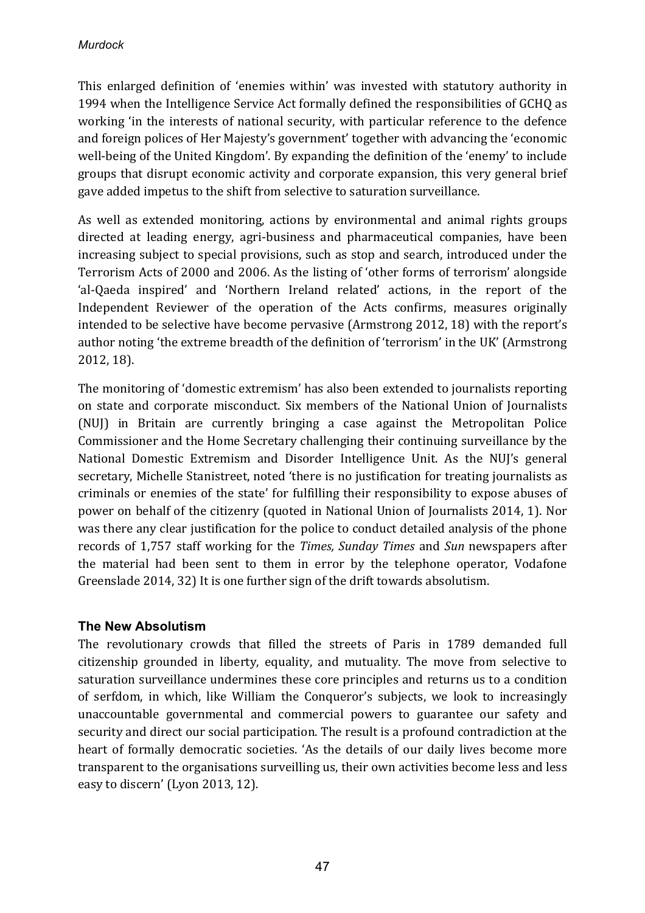This enlarged definition of 'enemies within' was invested with statutory authority in 1994 when the Intelligence Service Act formally defined the responsibilities of GCHQ as working 'in the interests of national security, with particular reference to the defence and foreign polices of Her Majesty's government' together with advancing the 'economic well-being of the United Kingdom'. By expanding the definition of the 'enemy' to include groups that disrupt economic activity and corporate expansion, this very general brief gave added impetus to the shift from selective to saturation surveillance.

As well as extended monitoring, actions by environmental and animal rights groups directed at leading energy, agri-business and pharmaceutical companies, have been increasing subject to special provisions, such as stop and search, introduced under the Terrorism Acts of 2000 and 2006. As the listing of 'other forms of terrorism' alongside 'al-Qaeda inspired' and 'Northern Ireland related' actions, in the report of the Independent Reviewer of the operation of the Acts confirms, measures originally intended to be selective have become pervasive (Armstrong 2012, 18) with the report's author noting 'the extreme breadth of the definition of 'terrorism' in the UK' (Armstrong 2012, 18).

The monitoring of 'domestic extremism' has also been extended to journalists reporting on state and corporate misconduct. Six members of the National Union of Journalists (NUJ) in Britain are currently bringing a case against the Metropolitan Police Commissioner and the Home Secretary challenging their continuing surveillance by the National Domestic Extremism and Disorder Intelligence Unit. As the NUI's general secretary, Michelle Stanistreet, noted 'there is no justification for treating journalists as criminals or enemies of the state' for fulfilling their responsibility to expose abuses of power on behalf of the citizenry (quoted in National Union of Journalists 2014, 1). Nor was there any clear justification for the police to conduct detailed analysis of the phone records of 1,757 staff working for the *Times, Sunday Times* and *Sun* newspapers after the material had been sent to them in error by the telephone operator, Vodafone Greenslade 2014, 32) It is one further sign of the drift towards absolutism.

## **The New Absolutism**

The revolutionary crowds that filled the streets of Paris in 1789 demanded full citizenship grounded in liberty, equality, and mutuality. The move from selective to saturation surveillance undermines these core principles and returns us to a condition of serfdom, in which, like William the Conqueror's subjects, we look to increasingly unaccountable governmental and commercial powers to guarantee our safety and security and direct our social participation. The result is a profound contradiction at the heart of formally democratic societies. 'As the details of our daily lives become more transparent to the organisations surveilling us, their own activities become less and less easy to discern' (Lyon 2013, 12).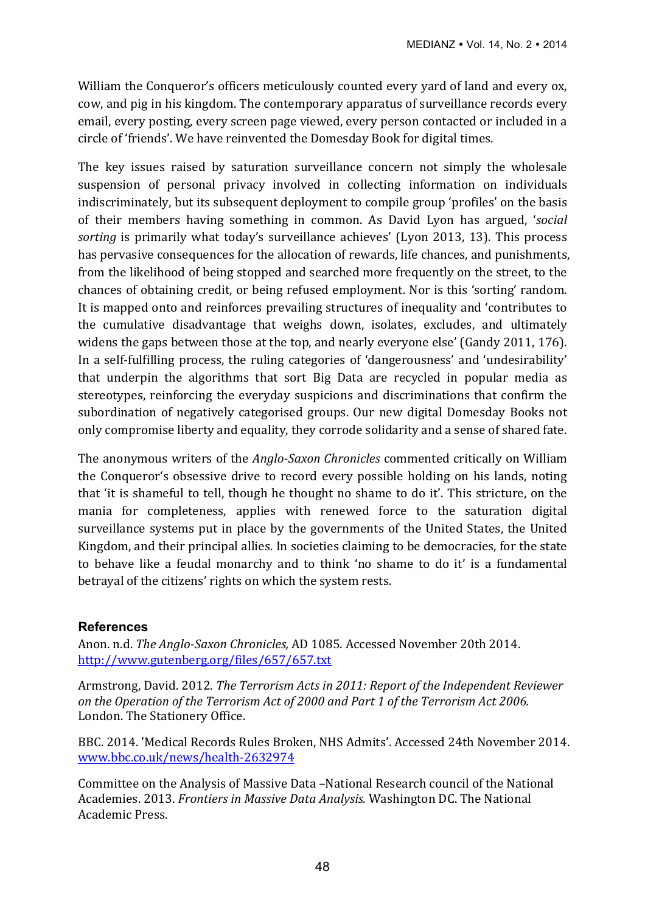William the Conqueror's officers meticulously counted every yard of land and every ox, cow, and pig in his kingdom. The contemporary apparatus of surveillance records every email, every posting, every screen page viewed, every person contacted or included in a circle of 'friends'. We have reinvented the Domesday Book for digital times.

The key issues raised by saturation surveillance concern not simply the wholesale suspension of personal privacy involved in collecting information on individuals indiscriminately, but its subsequent deployment to compile group 'profiles' on the basis of their members having something in common. As David Lyon has argued, '*social sorting* is primarily what today's surveillance achieves' (Lyon 2013, 13). This process has pervasive consequences for the allocation of rewards, life chances, and punishments, from the likelihood of being stopped and searched more frequently on the street, to the chances of obtaining credit, or being refused employment. Nor is this 'sorting' random. It is mapped onto and reinforces prevailing structures of inequality and 'contributes to the cumulative disadvantage that weighs down, isolates, excludes, and ultimately widens the gaps between those at the top, and nearly everyone else' (Gandy 2011, 176). In a self-fulfilling process, the ruling categories of 'dangerousness' and 'undesirability' that underpin the algorithms that sort Big Data are recycled in popular media as stereotypes, reinforcing the everyday suspicions and discriminations that confirm the subordination of negatively categorised groups. Our new digital Domesday Books not only compromise liberty and equality, they corrode solidarity and a sense of shared fate.

The anonymous writers of the *Anglo-Saxon Chronicles* commented critically on William the Conqueror's obsessive drive to record every possible holding on his lands, noting that 'it is shameful to tell, though he thought no shame to do it'. This stricture, on the mania for completeness, applies with renewed force to the saturation digital surveillance systems put in place by the governments of the United States, the United Kingdom, and their principal allies. In societies claiming to be democracies, for the state to behave like a feudal monarchy and to think 'no shame to do it' is a fundamental betrayal of the citizens' rights on which the system rests.

## **References**

Anon. n.d. *The Anglo-Saxon Chronicles, AD* 1085. Accessed November 20th 2014. http://www.gutenberg.org/files/657/657.txt

Armstrong, David. 2012. *The Terrorism Acts in 2011: Report of the Independent Reviewer* on the Operation of the Terrorism Act of 2000 and Part 1 of the Terrorism Act 2006. London. The Stationery Office.

BBC. 2014. 'Medical Records Rules Broken, NHS Admits'. Accessed 24th November 2014. www.bbc.co.uk/news/health-2632974

Committee on the Analysis of Massive Data -National Research council of the National Academies. 2013. *Frontiers in Massive Data Analysis.* Washington DC. The National Academic Press.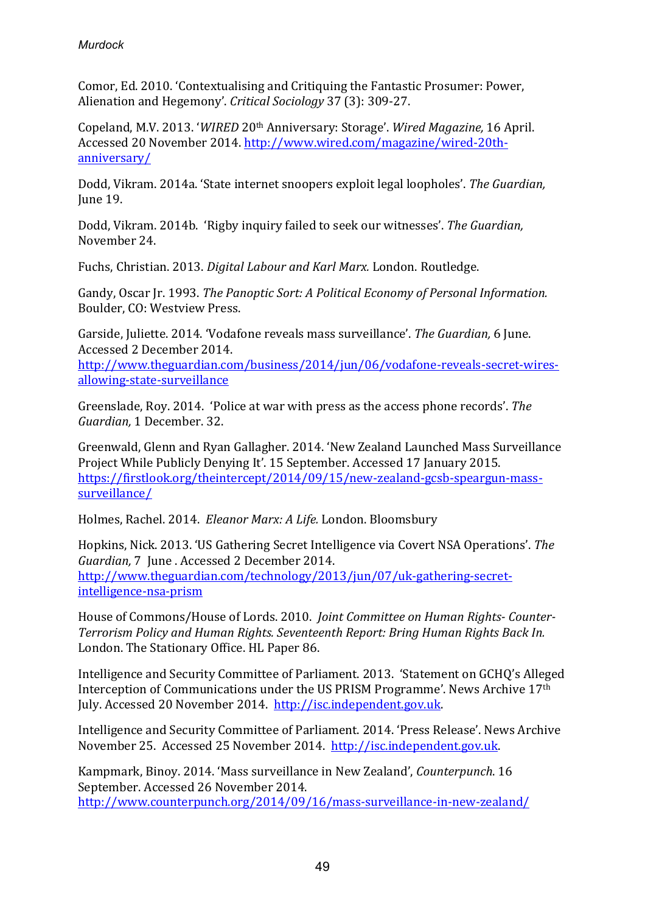Comor, Ed. 2010. 'Contextualising and Critiquing the Fantastic Prosumer: Power, Alienation and Hegemony'. *Critical Sociology* 37 (3): 309-27.

Copeland, M.V. 2013. '*WIRED* 20<sup>th</sup> Anniversary: Storage'. *Wired Magazine*, 16 April. Accessed 20 November 2014. http://www.wired.com/magazine/wired-20thanniversary/

Dodd, Vikram. 2014a. 'State internet snoopers exploit legal loopholes'. *The Guardian*, June 19.

Dodd, Vikram. 2014b. 'Rigby inquiry failed to seek our witnesses'. *The Guardian.* November 24. 

Fuchs, Christian. 2013. *Digital Labour and Karl Marx.* London. Routledge.

Gandy, Oscar Jr. 1993. *The Panoptic Sort: A Political Economy of Personal Information.* Boulder, CO: Westview Press.

Garside, Juliette. 2014. 'Vodafone reveals mass surveillance'. *The Guardian*, 6 June. Accessed 2 December 2014. 

http://www.theguardian.com/business/2014/jun/06/vodafone-reveals-secret-wiresallowing-state-surveillance

Greenslade, Roy. 2014. 'Police at war with press as the access phone records'. *The* Guardian, 1 December. 32.

Greenwald, Glenn and Ryan Gallagher, 2014. 'New Zealand Launched Mass Surveillance Project While Publicly Denying It'. 15 September. Accessed 17 January 2015. https://firstlook.org/theintercept/2014/09/15/new-zealand-gcsb-speargun-masssurveillance/

Holmes, Rachel. 2014. *Eleanor Marx: A Life.* London. Bloomsbury

Hopkins, Nick. 2013. 'US Gathering Secret Intelligence via Covert NSA Operations'. The *Guardian,* 7 June . Accessed 2 December 2014. http://www.theguardian.com/technology/2013/jun/07/uk-gathering-secretintelligence-nsa-prism

House of Commons/House of Lords. 2010. *Joint Committee on Human Rights- Counter-***Terrorism Policy and Human Rights. Seventeenth Report: Bring Human Rights Back In.** London. The Stationary Office. HL Paper 86.

Intelligence and Security Committee of Parliament. 2013. 'Statement on GCHO's Alleged Interception of Communications under the US PRISM Programme'. News Archive 17th July. Accessed 20 November 2014. http://isc.independent.gov.uk.

Intelligence and Security Committee of Parliament. 2014. 'Press Release'. News Archive November 25. Accessed 25 November 2014. http://isc.independent.gov.uk.

Kampmark, Binoy. 2014. 'Mass surveillance in New Zealand', *Counterpunch*. 16 September. Accessed 26 November 2014. http://www.counterpunch.org/2014/09/16/mass-surveillance-in-new-zealand/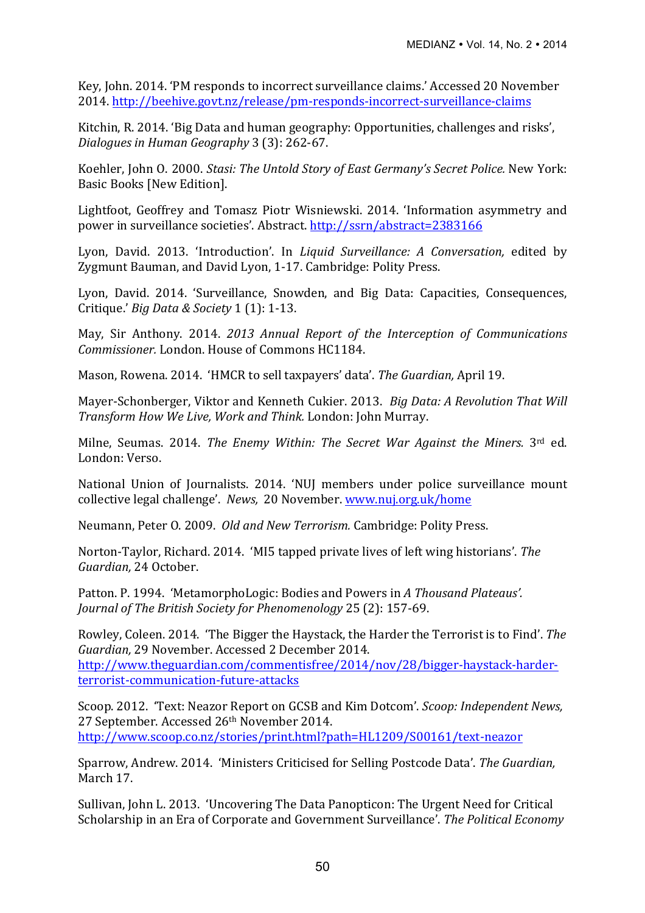Key, John. 2014. 'PM responds to incorrect surveillance claims.' Accessed 20 November 2014. http://beehive.govt.nz/release/pm-responds-incorrect-surveillance-claims

Kitchin, R. 2014. 'Big Data and human geography: Opportunities, challenges and risks', *Dialogues in Human Geography* 3 (3): 262-67.

Koehler, John O. 2000. *Stasi: The Untold Story of East Germany's Secret Police.* New York: Basic Books [New Edition].

Lightfoot, Geoffrey and Tomasz Piotr Wisniewski. 2014. 'Information asymmetry and power in surveillance societies'. Abstract. http://ssrn/abstract=2383166

Lyon, David. 2013. 'Introduction'. In *Liquid Surveillance: A Conversation*, edited by Zygmunt Bauman, and David Lyon, 1-17. Cambridge: Polity Press.

Lyon, David. 2014. 'Surveillance, Snowden, and Big Data: Capacities, Consequences, Critique.' *Big Data & Society* 1 (1): 1-13.

May, Sir Anthony. 2014. *2013 Annual Report of the Interception of Communications Commissioner.* London. House of Commons HC1184.

Mason, Rowena. 2014. 'HMCR to sell taxpayers' data'. *The Guardian*, April 19.

Mayer-Schonberger, Viktor and Kenneth Cukier, 2013. *Big Data: A Revolution That Will Transform How We Live, Work and Think.* London: John Murray.

Milne, Seumas. 2014. *The Enemy Within: The Secret War Against the Miners.* 3<sup>rd</sup> ed. London: Verso.

National Union of Journalists. 2014. 'NUJ members under police surveillance mount collective legal challenge'. *News,* 20 November. www.nuj.org.uk/home

Neumann, Peter O. 2009. *Old and New Terrorism.* Cambridge: Polity Press.

Norton-Taylor, Richard. 2014. 'MI5 tapped private lives of left wing historians'. The Guardian, 24 October.

Patton. P. 1994. 'MetamorphoLogic: Bodies and Powers in A Thousand Plateaus'. *Journal of The British Society for Phenomenology* 25 (2): 157-69.

Rowley, Coleen. 2014. 'The Bigger the Haystack, the Harder the Terrorist is to Find'. The *Guardian,* 29 November. Accessed 2 December 2014. http://www.theguardian.com/commentisfree/2014/nov/28/bigger-haystack-harderterrorist-communication-future-attacks

Scoop. 2012. 'Text: Neazor Report on GCSB and Kim Dotcom'. *Scoop: Independent News,* 27 September. Accessed 26<sup>th</sup> November 2014. http://www.scoop.co.nz/stories/print.html?path=HL1209/S00161/text-neazor

Sparrow, Andrew. 2014. 'Ministers Criticised for Selling Postcode Data'. The Guardian, March 17.

Sullivan, John L. 2013. 'Uncovering The Data Panopticon: The Urgent Need for Critical Scholarship in an Era of Corporate and Government Surveillance'. The Political Economy